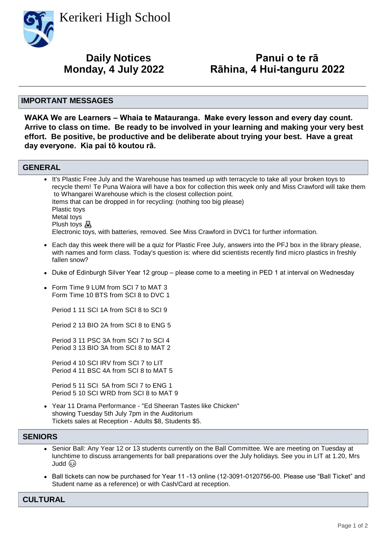Kerikeri High School



# **Daily Notices**

# **Panui o te rā Monday, 4 July 2022 Rāhina, 4 Hui-tanguru 2022**

#### **IMPORTANT MESSAGES**

**WAKA We are Learners – Whaia te Matauranga. Make every lesson and every day count. Arrive to class on time. Be ready to be involved in your learning and making your very best effort. Be positive, be productive and be deliberate about trying your best. Have a great day everyone. Kia pai tō koutou rā.**

#### **GENERAL**

• It's Plastic Free July and the Warehouse has teamed up with terracycle to take all your broken toys to recycle them! Te Puna Waiora will have a box for collection this week only and Miss Crawford will take them to Whangarei Warehouse which is the closest collection point. Items that can be dropped in for recycling: (nothing too big please) Plastic toys Metal toys Plush toys & Electronic toys, with batteries, removed. See Miss Crawford in DVC1 for further information.

- Each day this week there will be a quiz for Plastic Free July, answers into the PFJ box in the library please, with names and form class. Today's question is: where did scientists recently find micro plastics in freshly fallen snow?
- Duke of Edinburgh Silver Year 12 group please come to a meeting in PED 1 at interval on Wednesday
- Form Time 9 LUM from SCI 7 to MAT 3 Form Time 10 BTS from SCI 8 to DVC 1 •

Period 1 11 SCI 1A from SCI 8 to SCI 9

Period 2 13 BIO 2A from SCI 8 to ENG 5

Period 3 11 PSC 3A from SCI 7 to SCI 4 Period 3 13 BIO 3A from SCI 8 to MAT 2

Period 4 10 SCI IRV from SCI 7 to LIT Period 4 11 BSC 4A from SCI 8 to MAT 5

Period 5 11 SCI 5A from SCI 7 to ENG 1 Period 5 10 SCI WRD from SCI 8 to MAT 9

Year 11 Drama Performance - "Ed Sheeran Tastes like Chicken" • showing Tuesday 5th July 7pm in the Auditorium Tickets sales at Reception - Adults \$8, Students \$5.

### **SENIORS**

- Senior Ball: Any Year 12 or 13 students currently on the Ball Committee. We are meeting on Tuesday at lunchtime to discuss arrangements for ball preparations over the July holidays. See you in LIT at 1.20, Mrs Judd
- Ball tickets can now be purchased for Year 11 -13 online (12-3091-0120756-00. Please use "Ball Ticket" and Student name as a reference) or with Cash/Card at reception.

# **CULTURAL**